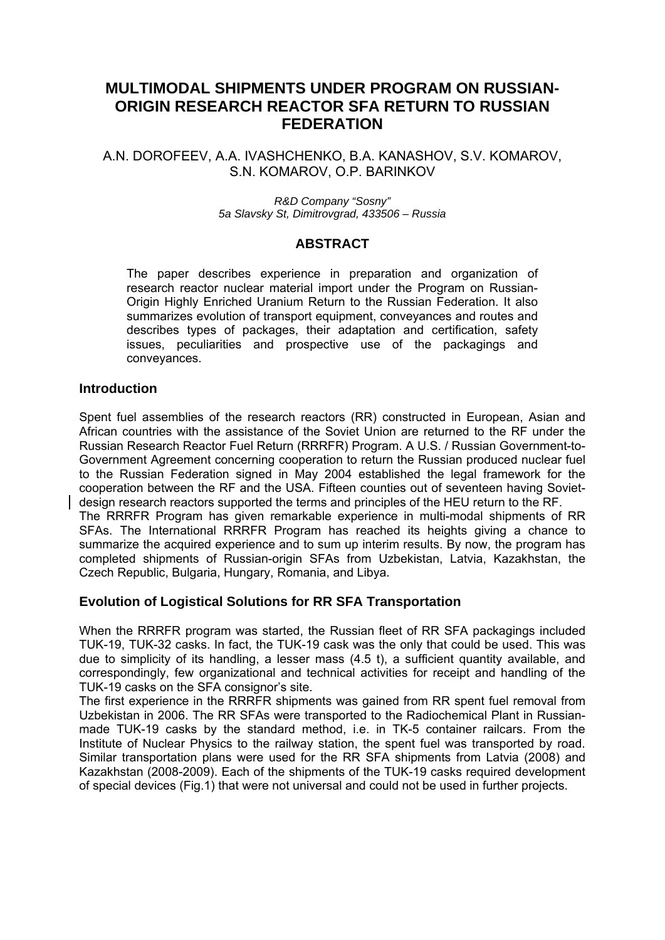# **MULTIMODAL SHIPMENTS UNDER PROGRAM ON RUSSIAN-ORIGIN RESEARCH REACTOR SFA RETURN TO RUSSIAN FEDERATION**

A.N. DOROFEEV, A.A. IVASHCHENKO, B.A. KANASHOV, S.V. KOMAROV, S.N. KOMAROV, O.P. BARINKOV

> *R&D Company "Sosny" 5a Slavsky St, Dimitrovgrad, 433506 – Russia*

### **ABSTRACT**

The paper describes experience in preparation and organization of research reactor nuclear material import under the Program on Russian-Origin Highly Enriched Uranium Return to the Russian Federation. It also summarizes evolution of transport equipment, conveyances and routes and describes types of packages, their adaptation and certification, safety issues, peculiarities and prospective use of the packagings and conveyances.

#### **Introduction**

Spent fuel assemblies of the research reactors (RR) constructed in European, Asian and African countries with the assistance of the Soviet Union are returned to the RF under the Russian Research Reactor Fuel Return (RRRFR) Program. A U.S. / Russian Government-to-Government Agreement concerning cooperation to return the Russian produced nuclear fuel to the Russian Federation signed in May 2004 established the legal framework for the cooperation between the RF and the USA. Fifteen counties out of seventeen having Sovietdesign research reactors supported the terms and principles of the HEU return to the RF.

The RRRFR Program has given remarkable experience in multi-modal shipments of RR SFAs. The International RRRFR Program has reached its heights giving a chance to summarize the acquired experience and to sum up interim results. By now, the program has completed shipments of Russian-origin SFAs from Uzbekistan, Latvia, Kazakhstan, the Czech Republic, Bulgaria, Hungary, Romania, and Libya.

### **Evolution of Logistical Solutions for RR SFA Transportation**

When the RRRFR program was started, the Russian fleet of RR SFA packagings included TUK-19, TUK-32 casks. In fact, the TUK-19 cask was the only that could be used. This was due to simplicity of its handling, a lesser mass (4.5 t), a sufficient quantity available, and correspondingly, few organizational and technical activities for receipt and handling of the TUK-19 casks on the SFA consignor's site.

The first experience in the RRRFR shipments was gained from RR spent fuel removal from Uzbekistan in 2006. The RR SFAs were transported to the Radiochemical Plant in Russianmade TUK-19 casks by the standard method, i.e. in TK-5 container railcars. From the Institute of Nuclear Physics to the railway station, the spent fuel was transported by road. Similar transportation plans were used for the RR SFA shipments from Latvia (2008) and Kazakhstan (2008-2009). Each of the shipments of the TUK-19 casks required development of special devices (Fig.1) that were not universal and could not be used in further projects.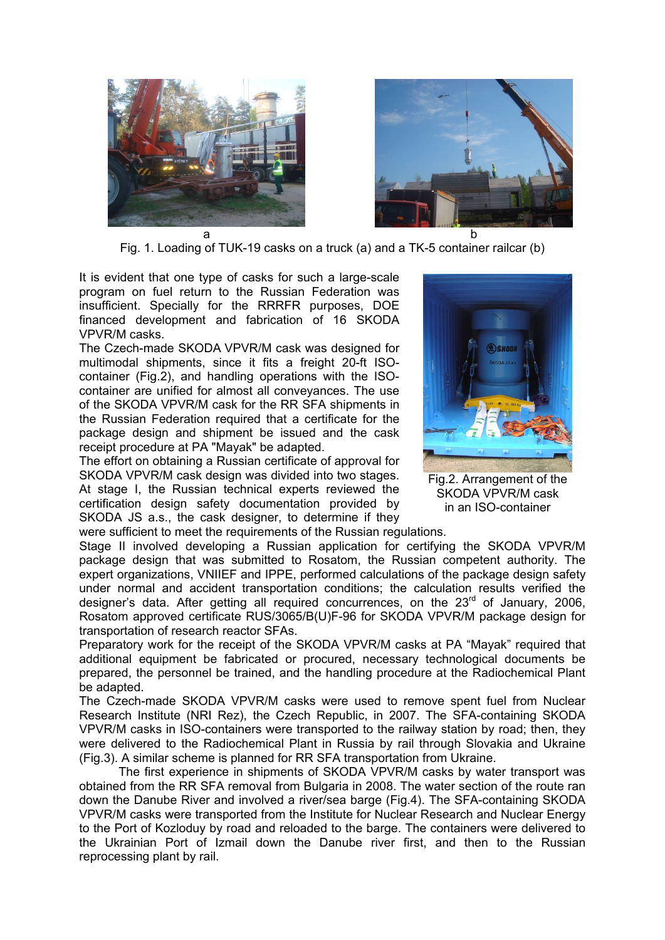



Fig. 1. Loading of TUK-19 casks on a truck (a) and a TK-5 container railcar (b)

It is evident that one type of casks for such a large-scale program on fuel return to the Russian Federation was insufficient. Specially for the RRRFR purposes, DOE financed development and fabrication of 16 SKODA VPVR/M casks.

The Czech-made SKODA VPVR/M cask was designed for multimodal shipments, since it fits a freight 20-ft ISOcontainer (Fig.2), and handling operations with the ISOcontainer are unified for almost all conveyances. The use of the SKODA VPVR/M cask for the RR SFA shipments in the Russian Federation required that a certificate for the package design and shipment be issued and the cask receipt procedure at PA "Mayak" be adapted.

The effort on obtaining a Russian certificate of approval for SKODA VPVR/M cask design was divided into two stages. At stage I, the Russian technical experts reviewed the certification design safety documentation provided by SKODA JS a.s., the cask designer, to determine if they were sufficient to meet the requirements of the Russian regulations.



Fig.2. Arrangement of the SKODA VPVR/M cask in an ISO-container

Stage II involved developing a Russian application for certifying the SKODA VPVR/M package design that was submitted to Rosatom, the Russian competent authority. The expert organizations, VNIIEF and IPPE, performed calculations of the package design safety under normal and accident transportation conditions; the calculation results verified the designer's data. After getting all required concurrences, on the  $23<sup>rd</sup>$  of January, 2006, Rosatom approved certificate RUS/3065/B(U)F-96 for SKODA VPVR/M package design for transportation of research reactor SFAs.

Preparatory work for the receipt of the SKODA VPVR/M casks at PA "Mayak" required that additional equipment be fabricated or procured, necessary technological documents be prepared, the personnel be trained, and the handling procedure at the Radiochemical Plant be adapted.

The Czech-made SKODA VPVR/M casks were used to remove spent fuel from Nuclear Research Institute (NRI Rez), the Czech Republic, in 2007. The SFA-containing SKODA VPVR/M casks in ISO-containers were transported to the railway station by road; then, they were delivered to the Radiochemical Plant in Russia by rail through Slovakia and Ukraine (Fig.3). A similar scheme is planned for RR SFA transportation from Ukraine.

The first experience in shipments of SKODA VPVR/M casks by water transport was obtained from the RR SFA removal from Bulgaria in 2008. The water section of the route ran down the Danube River and involved a river/sea barge (Fig.4). The SFA-containing SKODA VPVR/M casks were transported from the Institute for Nuclear Research and Nuclear Energy to the Port of Kozloduy by road and reloaded to the barge. The containers were delivered to the Ukrainian Port of Izmail down the Danube river first, and then to the Russian reprocessing plant by rail.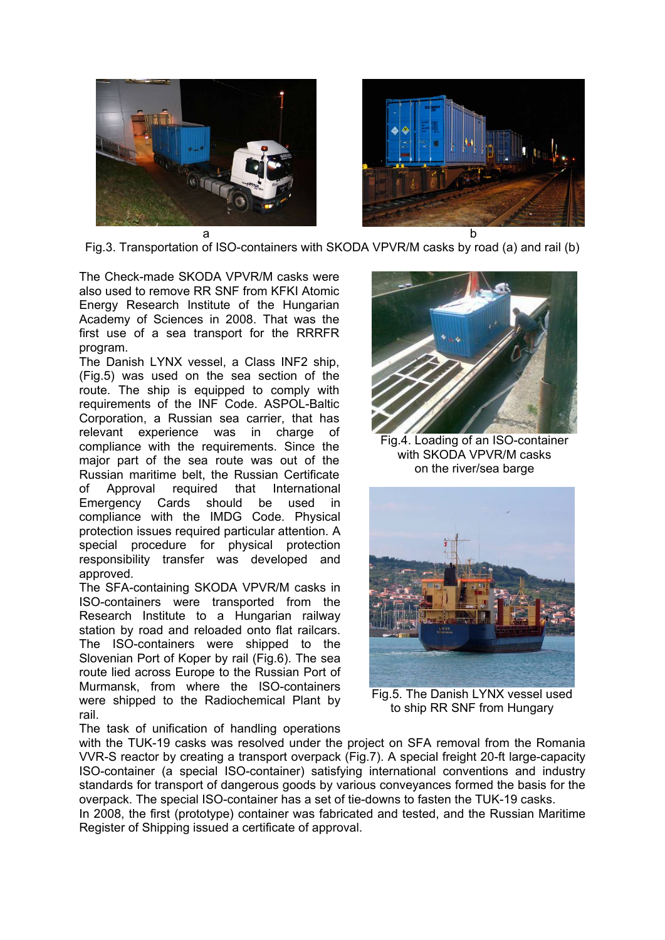

Fig.3. Transportation of ISO-containers with SKODA VPVR/M casks by road (a) and rail (b)

The Check-made SKODA VPVR/M casks were also used to remove RR SNF from KFKI Atomic Energy Research Institute of the Hungarian Academy of Sciences in 2008. That was the first use of a sea transport for the RRRFR program.

The Danish LYNX vessel, a Class INF2 ship, (Fig.5) was used on the sea section of the route. The ship is equipped to comply with requirements of the INF Code. ASPOL-Baltic Corporation, a Russian sea carrier, that has relevant experience was in charge of compliance with the requirements. Since the major part of the sea route was out of the Russian maritime belt, the Russian Certificate of Approval required that International Emergency Cards should be used in compliance with the IMDG Code. Physical protection issues required particular attention. A special procedure for physical protection responsibility transfer was developed and approved.

The SFA-containing SKODA VPVR/M casks in ISO-containers were transported from the Research Institute to a Hungarian railway station by road and reloaded onto flat railcars. The ISO-containers were shipped to the Slovenian Port of Koper by rail (Fig.6). The sea route lied across Europe to the Russian Port of Murmansk, from where the ISO-containers were shipped to the Radiochemical Plant by rail.

The task of unification of handling operations



Fig.4. Loading of an ISO-container with SKODA VPVR/M casks on the river/sea barge



Fig.5. The Danish LYNX vessel used to ship RR SNF from Hungary

with the TUK-19 casks was resolved under the project on SFA removal from the Romania VVR-S reactor by creating a transport overpack (Fig.7). A special freight 20-ft large-capacity ISO-container (a special ISO-container) satisfying international conventions and industry standards for transport of dangerous goods by various conveyances formed the basis for the overpack. The special ISO-container has a set of tie-downs to fasten the TUK-19 casks. In 2008, the first (prototype) container was fabricated and tested, and the Russian Maritime Register of Shipping issued a certificate of approval.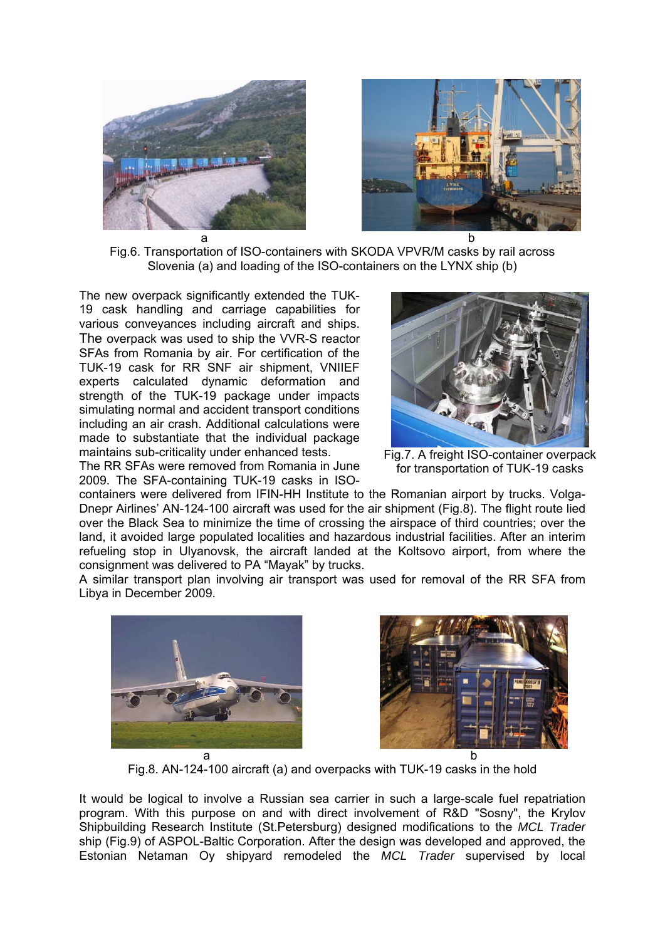



Fig.6. Transportation of ISO-containers with SKODA VPVR/M casks by rail across Slovenia (a) and loading of the ISO-containers on the LYNX ship (b)

The new overpack significantly extended the TUK-19 cask handling and carriage capabilities for various conveyances including aircraft and ships. The overpack was used to ship the VVR-S reactor SFAs from Romania by air. For certification of the TUK-19 cask for RR SNF air shipment, VNIIEF experts calculated dynamic deformation and strength of the TUK-19 package under impacts simulating normal and accident transport conditions including an air crash. Additional calculations were made to substantiate that the individual package maintains sub-criticality under enhanced tests.

The RR SFAs were removed from Romania in June 2009. The SFA-containing TUK-19 casks in ISO-



Fig.7. A freight ISO-container overpack for transportation of TUK-19 casks

containers were delivered from IFIN-HH Institute to the Romanian airport by trucks. Volga-Dnepr Airlines' AN-124-100 aircraft was used for the air shipment (Fig.8). The flight route lied over the Black Sea to minimize the time of crossing the airspace of third countries; over the land, it avoided large populated localities and hazardous industrial facilities. After an interim refueling stop in Ulyanovsk, the aircraft landed at the Koltsovo airport, from where the consignment was delivered to PA "Mayak" by trucks.

A similar transport plan involving air transport was used for removal of the RR SFA from Libya in December 2009.





Fig.8. AN-124-100 aircraft (a) and overpacks with TUK-19 casks in the hold

It would be logical to involve a Russian sea carrier in such a large-scale fuel repatriation program. With this purpose on and with direct involvement of R&D "Sosny", the Krylov Shipbuilding Research Institute (St.Petersburg) designed modifications to the *MCL Trader* ship (Fig.9) of ASPOL-Baltic Corporation. After the design was developed and approved, the Estonian Netaman Оу shipyard remodeled the *MCL Trader* supervised by local